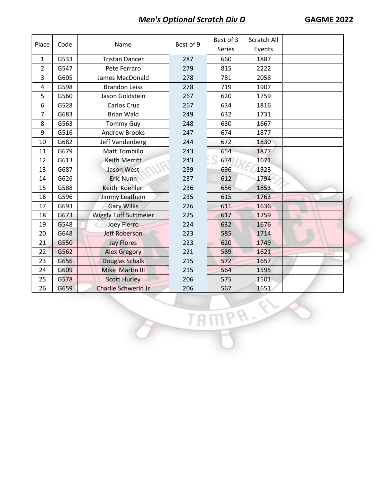| Place          | Code | Name                         | Best of 9 | Best of 3     | Scratch All |  |
|----------------|------|------------------------------|-----------|---------------|-------------|--|
|                |      |                              |           | <b>Series</b> | Events      |  |
| $\mathbf{1}$   | G533 | <b>Tristan Dancer</b>        | 287       | 660           | 1887        |  |
| $\overline{2}$ | G547 | Pete Ferraro                 | 279       | 815           | 2222        |  |
| 3              | G605 | James MacDonald              | 278       | 781           | 2058        |  |
| 4              | G598 | <b>Brandon Leiss</b>         | 278       | 719           | 1907        |  |
| 5              | G560 | Jason Goldstein              | 267       | 620           | 1759        |  |
| 6              | G528 | Carlos Cruz                  | 267       | 634           | 1816        |  |
| $\overline{7}$ | G683 | <b>Brian Wald</b>            | 249       | 632           | 1731        |  |
| 8              | G563 | <b>Tommy Guy</b>             | 248       | 630           | 1667        |  |
| 9              | G516 | <b>Andrew Brooks</b>         | 247       | 674           | 1877        |  |
| 10             | G682 | Jeff Vandenberg              | 244       | 672           | 1830        |  |
| 11             | G679 | <b>Matt Tombillo</b>         | 243       | 654           | 1877        |  |
| 12             | G613 | <b>Keith Merritt</b>         | 243       | 674           | 1671        |  |
| 13             | G687 | Jason West                   | 239       | 696           | 1923        |  |
| 14             | G626 | <b>Eric Nunn</b>             | 237       | 612           | 1794        |  |
| 15             | G588 | Keith Koehler                | 236       | 656           | 1853        |  |
| 16             | G596 | Jimmy Leathem                | 235       | 615           | 1763        |  |
| 17             | G693 | <b>Gary Willis</b>           | 226       | 611           | 1636        |  |
| 18             | G673 | <b>Wiggly Tuff Suttmeier</b> | 225       | 617           | 1759        |  |
| 19             | G548 | Joey Fierro                  | 224       | 632           | 1676        |  |
| 20             | G648 | <b>Jeff Roberson</b>         | 223       | 585           | 1714        |  |
| 21             | G550 | <b>Jay Flores</b>            | 223       | 620           | 1749        |  |
| 22             | G562 | <b>Alex Gregory</b>          | 221       | 589           | 1621        |  |
| 23             | G656 | Douglas Schalk               | 215       | 572           | 1657        |  |
| 24             | G609 | Mike Martin III              | 215       | 564           | 1595        |  |
| 25             | G578 | <b>Scott Hurley</b>          | 206       | 575           | 1501        |  |
| 26             | G659 | Charlie Schwerin Jr          | 206       | 567           | 1651        |  |

TAMPR.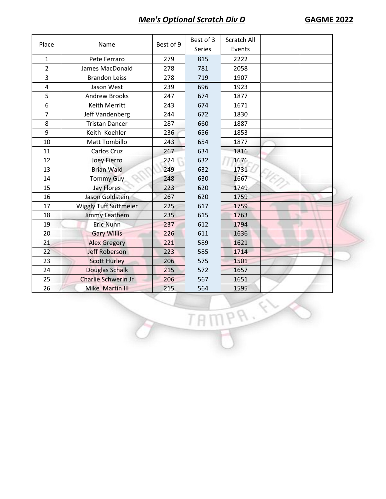| Place          | Name                       | Best of 9 | Best of 3     | Scratch All |  |
|----------------|----------------------------|-----------|---------------|-------------|--|
|                |                            |           | <b>Series</b> | Events      |  |
| 1              | Pete Ferraro               | 279       | 815           | 2222        |  |
| $\overline{2}$ | James MacDonald            | 278       | 781           | 2058        |  |
| 3              | <b>Brandon Leiss</b>       | 278       | 719           | 1907        |  |
| 4              | Jason West                 | 239       | 696           | 1923        |  |
| 5              | <b>Andrew Brooks</b>       | 247       | 674           | 1877        |  |
| 6              | Keith Merritt              | 243       | 674           | 1671        |  |
| 7              | Jeff Vandenberg            | 244       | 672           | 1830        |  |
| 8              | <b>Tristan Dancer</b>      | 287       | 660           | 1887        |  |
| 9              | Keith Koehler              | 236       | 656           | 1853        |  |
| 10             | <b>Matt Tombillo</b>       | 243       | 654           | 1877        |  |
| 11             | Carlos Cruz                | 267       | 634           | 1816        |  |
| 12             | Joey Fierro                | 224       | 632           | 1676        |  |
| 13             | <b>Brian Wald</b>          | 249       | 632           | 1731        |  |
| 14             | <b>Tommy Guy</b>           | 248       | 630           | 1667        |  |
| 15             | <b>Jay Flores</b>          | 223       | 620           | 1749        |  |
| 16             | Jason Goldstein            | 267       | 620           | 1759        |  |
| 17             | Wiggly Tuff Suttmeier      | 225       | 617           | 1759        |  |
| 18             | Jimmy Leathem              | 235       | 615           | 1763        |  |
| 19             | <b>Eric Nunn</b>           | 237       | 612           | 1794        |  |
| 20             | <b>Gary Willis</b>         | 226       | 611           | 1636        |  |
| 21             | <b>Alex Gregory</b>        | 221       | 589           | 1621        |  |
| 22             | <b>Jeff Roberson</b>       | 223       | 585           | 1714        |  |
| 23             | <b>Scott Hurley</b>        | 206       | 575           | 1501        |  |
| 24             | Douglas Schalk             | 215       | 572           | 1657        |  |
| 25             | <b>Charlie Schwerin Jr</b> | 206       | 567           | 1651        |  |
| 26             | Mike Martin III            | 215       | 564           | 1595        |  |

TAMPA.